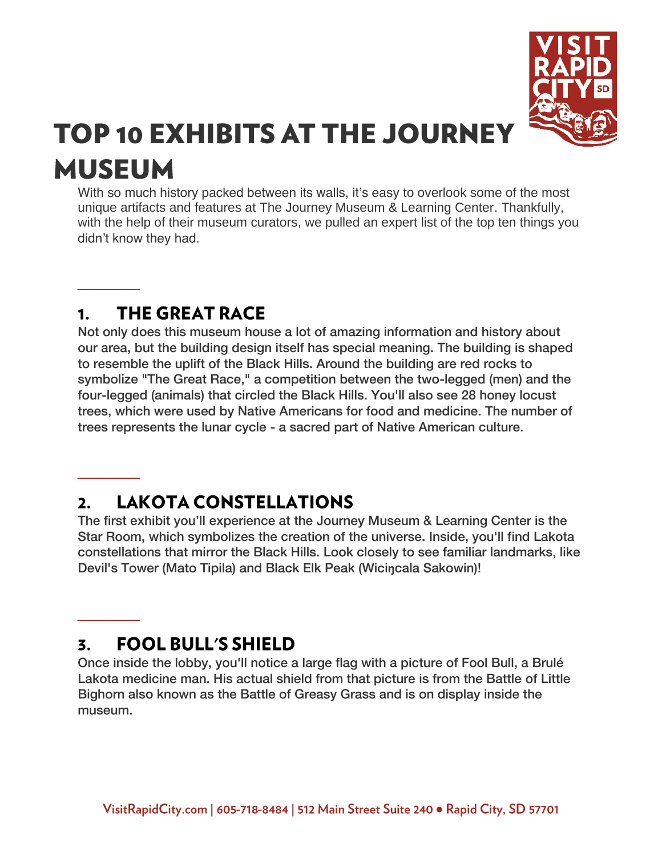

# **TOP 10 EXHIBITS AT THE JOURNEY MUSEUM**

With so much history packed between its walls, it's easy to overlook some of the most unique artifacts and features at [The Journey Museum & Learning Center.](https://www.visitrapidcity.com/things-to-do/arts-culture/journey-museum-learning-center) Thankfully, with the help of their museum curators, we pulled an expert list of the top ten things you didn't know they had.

## **THE GREAT RACE**  $1<sub>1</sub>$

**\_\_\_\_**

**\_\_\_\_**

**\_\_\_\_**

Not only does this museum house a lot of amazing information and history about our area, but the building design itself has special meaning. The building is shaped to resemble the uplift of the Black Hills. Around the building are red rocks to symbolize "The Great Race," a competition between the two-legged (men) and the four-legged (animals) that circled the Black Hills. You'll also see 28 honey locust trees, which were used by Native Americans for food and medicine. The number of trees represents the lunar cycle - a sacred part of Native American culture.

# **LAKOTA CONSTELLATIONS**  $\mathbf{2}$

The first exhibit you'll experience at the Journey Museum & Learning Center is the Star Room, which symbolizes the creation of the universe. Inside, you'll find Lakota constellations that mirror the Black Hills. Look closely to see familiar landmarks, like Devil's Tower (Mato Tipila) and Black Elk Peak (Wici**ŋ**cala Sakowin)!

# **FOOL BULL'S SHIELD** 3.

Once inside the lobby, you'll notice a large flag with a picture of Fool Bull, a Brulé Lakota medicine man. His actual shield from that picture is from the Battle of Little Bighorn also known as the Battle of Greasy Grass and is on display inside the museum.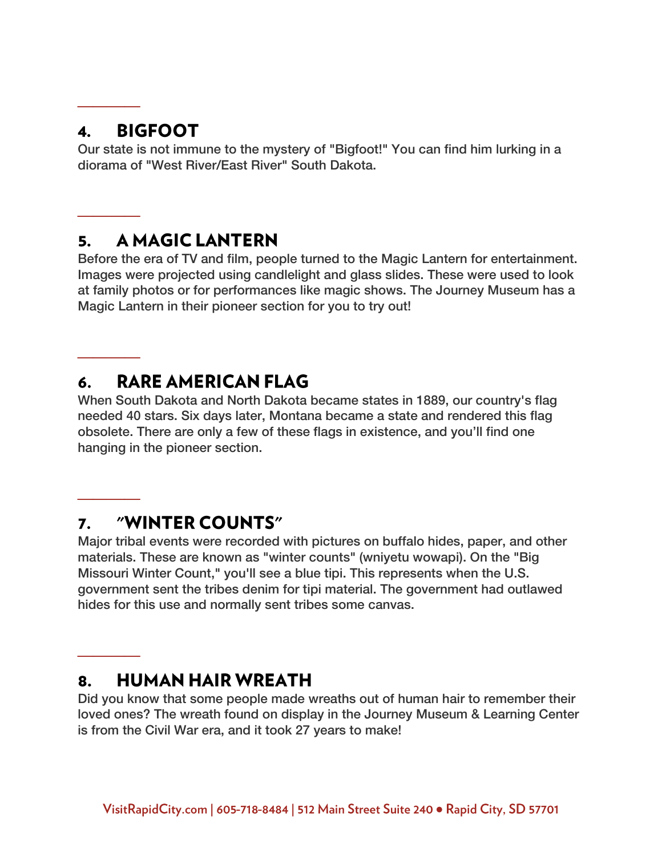## **BIGFOOT**  $\mathbf{4}$ .

**\_\_\_\_**

**\_\_\_\_**

**\_\_\_\_**

**\_\_\_\_**

**\_\_\_\_**

Our state is not immune to the mystery of "Bigfoot!" You can find him lurking in a diorama of "West River/East River" South Dakota.

#### **A MAGIC LANTERN** 5.

Before the era of TV and film, people turned to the Magic Lantern for entertainment. Images were projected using candlelight and glass slides. These were used to look at family photos or for performances like magic shows. The Journey Museum has a Magic Lantern in their pioneer section for you to try out!

## **RARE AMERICAN FLAG** 6.

When South Dakota and North Dakota became states in 1889, our country's flag needed 40 stars. Six days later, Montana became a state and rendered this flag obsolete. There are only a few of these flags in existence, and you'll find one hanging in the pioneer section.

#### "WINTER COUNTS" 7.

Major tribal events were recorded with pictures on buffalo hides, paper, and other materials. These are known as "winter counts" (wniyetu wowapi). On the "Big Missouri Winter Count," you'll see a blue tipi. This represents when the U.S. government sent the tribes denim for tipi material. The government had outlawed hides for this use and normally sent tribes some canvas.

#### **HUMAN HAIR WREATH** 8.

Did you know that some people made wreaths out of human hair to remember their loved ones? The wreath found on display in the Journey Museum & Learning Center is from the Civil War era, and it took 27 years to make!